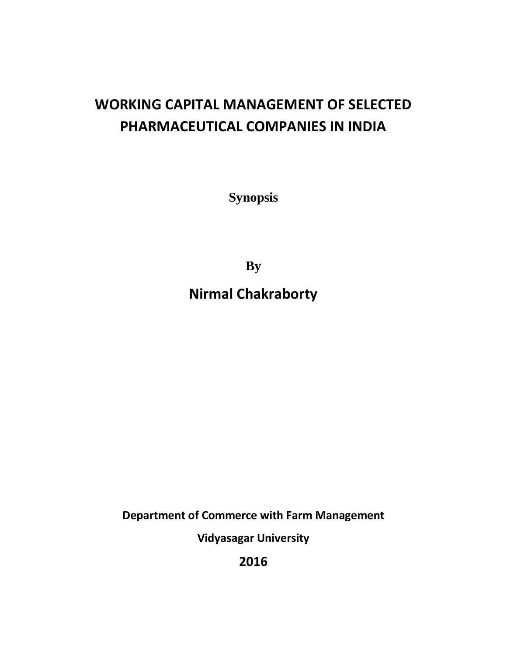## **WORKING CAPITAL MANAGEMENT OF SELECTED PHARMACEUTICAL COMPANIES IN INDIA**

**Synopsis**

**By**

**Nirmal Chakraborty**

**Department of Commerce with Farm Management**

**Vidyasagar University**

**2016**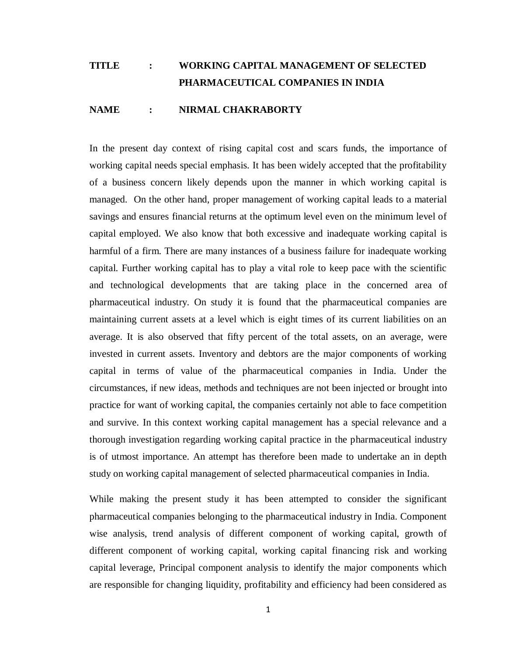## **TITLE : WORKING CAPITAL MANAGEMENT OF SELECTED PHARMACEUTICAL COMPANIES IN INDIA**

## **NAME : NIRMAL CHAKRABORTY**

In the present day context of rising capital cost and scars funds, the importance of working capital needs special emphasis. It has been widely accepted that the profitability of a business concern likely depends upon the manner in which working capital is managed. On the other hand, proper management of working capital leads to a material savings and ensures financial returns at the optimum level even on the minimum level of capital employed. We also know that both excessive and inadequate working capital is harmful of a firm. There are many instances of a business failure for inadequate working capital. Further working capital has to play a vital role to keep pace with the scientific and technological developments that are taking place in the concerned area of pharmaceutical industry. On study it is found that the pharmaceutical companies are maintaining current assets at a level which is eight times of its current liabilities on an average. It is also observed that fifty percent of the total assets, on an average, were invested in current assets. Inventory and debtors are the major components of working capital in terms of value of the pharmaceutical companies in India. Under the circumstances, if new ideas, methods and techniques are not been injected or brought into practice for want of working capital, the companies certainly not able to face competition and survive. In this context working capital management has a special relevance and a thorough investigation regarding working capital practice in the pharmaceutical industry is of utmost importance. An attempt has therefore been made to undertake an in depth study on working capital management of selected pharmaceutical companies in India.

While making the present study it has been attempted to consider the significant pharmaceutical companies belonging to the pharmaceutical industry in India. Component wise analysis, trend analysis of different component of working capital, growth of different component of working capital, working capital financing risk and working capital leverage, Principal component analysis to identify the major components which are responsible for changing liquidity, profitability and efficiency had been considered as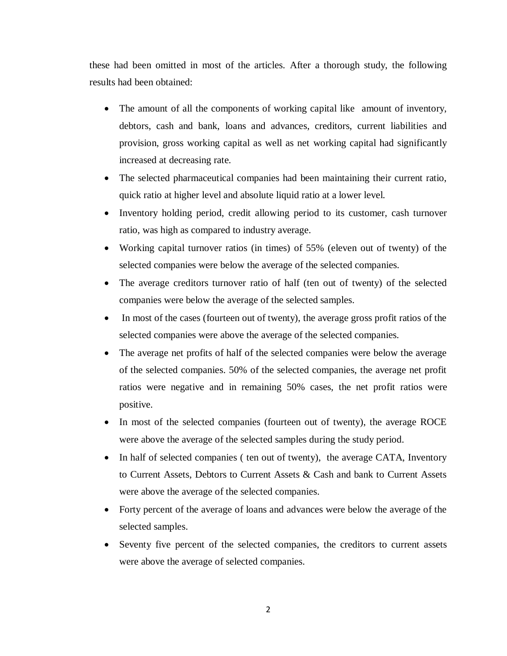these had been omitted in most of the articles. After a thorough study, the following results had been obtained:

- The amount of all the components of working capital like amount of inventory, debtors, cash and bank, loans and advances, creditors, current liabilities and provision, gross working capital as well as net working capital had significantly increased at decreasing rate.
- The selected pharmaceutical companies had been maintaining their current ratio, quick ratio at higher level and absolute liquid ratio at a lower level.
- Inventory holding period, credit allowing period to its customer, cash turnover ratio, was high as compared to industry average.
- Working capital turnover ratios (in times) of 55% (eleven out of twenty) of the selected companies were below the average of the selected companies.
- The average creditors turnover ratio of half (ten out of twenty) of the selected companies were below the average of the selected samples.
- In most of the cases (fourteen out of twenty), the average gross profit ratios of the selected companies were above the average of the selected companies.
- The average net profits of half of the selected companies were below the average of the selected companies. 50% of the selected companies, the average net profit ratios were negative and in remaining 50% cases, the net profit ratios were positive.
- In most of the selected companies (fourteen out of twenty), the average ROCE were above the average of the selected samples during the study period.
- In half of selected companies ( ten out of twenty), the average CATA, Inventory to Current Assets, Debtors to Current Assets & Cash and bank to Current Assets were above the average of the selected companies.
- Forty percent of the average of loans and advances were below the average of the selected samples.
- Seventy five percent of the selected companies, the creditors to current assets were above the average of selected companies.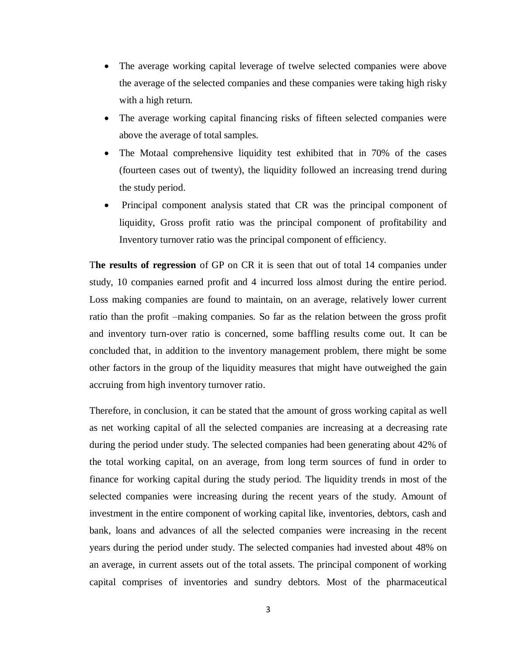- The average working capital leverage of twelve selected companies were above the average of the selected companies and these companies were taking high risky with a high return.
- The average working capital financing risks of fifteen selected companies were above the average of total samples.
- The Motaal comprehensive liquidity test exhibited that in 70% of the cases (fourteen cases out of twenty), the liquidity followed an increasing trend during the study period.
- Principal component analysis stated that CR was the principal component of liquidity, Gross profit ratio was the principal component of profitability and Inventory turnover ratio was the principal component of efficiency.

T**he results of regression** of GP on CR it is seen that out of total 14 companies under study, 10 companies earned profit and 4 incurred loss almost during the entire period. Loss making companies are found to maintain, on an average, relatively lower current ratio than the profit –making companies. So far as the relation between the gross profit and inventory turn-over ratio is concerned, some baffling results come out. It can be concluded that, in addition to the inventory management problem, there might be some other factors in the group of the liquidity measures that might have outweighed the gain accruing from high inventory turnover ratio.

Therefore, in conclusion, it can be stated that the amount of gross working capital as well as net working capital of all the selected companies are increasing at a decreasing rate during the period under study. The selected companies had been generating about 42% of the total working capital, on an average, from long term sources of fund in order to finance for working capital during the study period. The liquidity trends in most of the selected companies were increasing during the recent years of the study. Amount of investment in the entire component of working capital like, inventories, debtors, cash and bank, loans and advances of all the selected companies were increasing in the recent years during the period under study. The selected companies had invested about 48% on an average, in current assets out of the total assets. The principal component of working capital comprises of inventories and sundry debtors. Most of the pharmaceutical